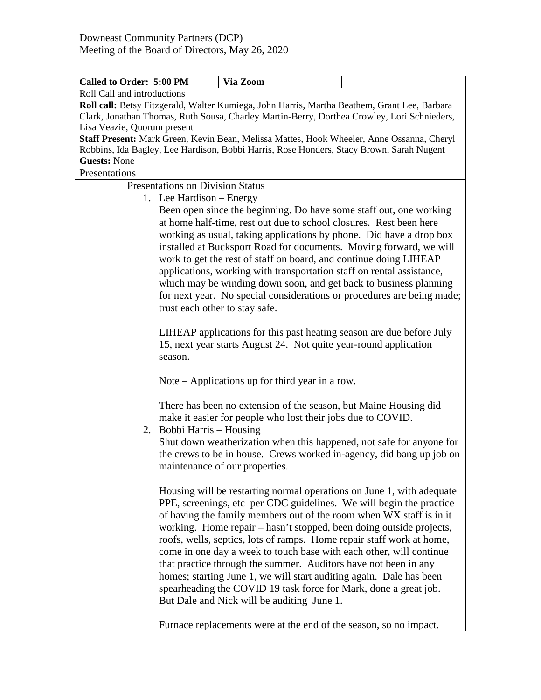| Called to Order: 5:00 PM                                                                    | Via Zoom                                                                                     |  |
|---------------------------------------------------------------------------------------------|----------------------------------------------------------------------------------------------|--|
| Roll Call and introductions                                                                 |                                                                                              |  |
|                                                                                             | Roll call: Betsy Fitzgerald, Walter Kumiega, John Harris, Martha Beathem, Grant Lee, Barbara |  |
| Clark, Jonathan Thomas, Ruth Sousa, Charley Martin-Berry, Dorthea Crowley, Lori Schnieders, |                                                                                              |  |
| Lisa Veazie, Quorum present                                                                 |                                                                                              |  |
|                                                                                             | Staff Present: Mark Green, Kevin Bean, Melissa Mattes, Hook Wheeler, Anne Ossanna, Cheryl    |  |
|                                                                                             | Robbins, Ida Bagley, Lee Hardison, Bobbi Harris, Rose Honders, Stacy Brown, Sarah Nugent     |  |
| <b>Guests: None</b>                                                                         |                                                                                              |  |
| Presentations                                                                               |                                                                                              |  |
| <b>Presentations on Division Status</b>                                                     |                                                                                              |  |
| 1. Lee Hardison – Energy                                                                    |                                                                                              |  |
| Been open since the beginning. Do have some staff out, one working                          |                                                                                              |  |
|                                                                                             | at home half-time, rest out due to school closures. Rest been here                           |  |
|                                                                                             | working as usual, taking applications by phone. Did have a drop box                          |  |
|                                                                                             | installed at Bucksport Road for documents. Moving forward, we will                           |  |
|                                                                                             | work to get the rest of staff on board, and continue doing LIHEAP                            |  |
|                                                                                             | applications, working with transportation staff on rental assistance,                        |  |
|                                                                                             |                                                                                              |  |
|                                                                                             | which may be winding down soon, and get back to business planning                            |  |
|                                                                                             | for next year. No special considerations or procedures are being made;                       |  |
|                                                                                             | trust each other to stay safe.                                                               |  |
|                                                                                             |                                                                                              |  |
|                                                                                             | LIHEAP applications for this past heating season are due before July                         |  |
|                                                                                             | 15, next year starts August 24. Not quite year-round application                             |  |
| season.                                                                                     |                                                                                              |  |
|                                                                                             |                                                                                              |  |
|                                                                                             | Note $-$ Applications up for third year in a row.                                            |  |
|                                                                                             | There has been no extension of the season, but Maine Housing did                             |  |
|                                                                                             | make it easier for people who lost their jobs due to COVID.                                  |  |
| 2. Bobbi Harris - Housing                                                                   |                                                                                              |  |
|                                                                                             | Shut down weatherization when this happened, not safe for anyone for                         |  |
|                                                                                             |                                                                                              |  |
|                                                                                             | the crews to be in house. Crews worked in-agency, did bang up job on                         |  |
|                                                                                             | maintenance of our properties.                                                               |  |
|                                                                                             |                                                                                              |  |
|                                                                                             | Housing will be restarting normal operations on June 1, with adequate                        |  |
|                                                                                             | PPE, screenings, etc per CDC guidelines. We will begin the practice                          |  |
|                                                                                             | of having the family members out of the room when WX staff is in it                          |  |
|                                                                                             | working. Home repair – hasn't stopped, been doing outside projects,                          |  |
|                                                                                             | roofs, wells, septics, lots of ramps. Home repair staff work at home,                        |  |
|                                                                                             | come in one day a week to touch base with each other, will continue                          |  |
|                                                                                             | that practice through the summer. Auditors have not been in any                              |  |
|                                                                                             | homes; starting June 1, we will start auditing again. Dale has been                          |  |
|                                                                                             | spearheading the COVID 19 task force for Mark, done a great job.                             |  |
|                                                                                             | But Dale and Nick will be auditing June 1.                                                   |  |
|                                                                                             |                                                                                              |  |
|                                                                                             | Furnace replacements were at the end of the season, so no impact.                            |  |

Furnace replacements were at the end of the season, so no impact.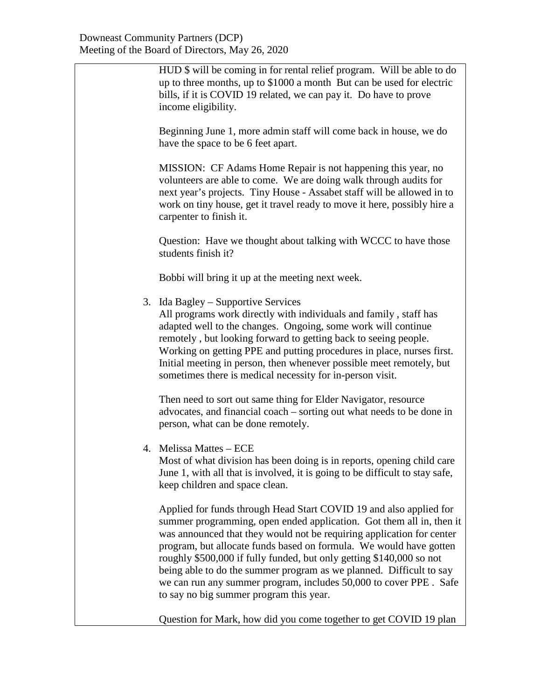| HUD \$ will be coming in for rental relief program. Will be able to do |
|------------------------------------------------------------------------|
| up to three months, up to \$1000 a month But can be used for electric  |
| bills, if it is COVID 19 related, we can pay it. Do have to prove      |
| income eligibility.                                                    |

Beginning June 1, more admin staff will come back in house, we do have the space to be 6 feet apart.

MISSION: CF Adams Home Repair is not happening this year, no volunteers are able to come. We are doing walk through audits for next year's projects. Tiny House - Assabet staff will be allowed in to work on tiny house, get it travel ready to move it here, possibly hire a carpenter to finish it.

Question: Have we thought about talking with WCCC to have those students finish it?

Bobbi will bring it up at the meeting next week.

3. Ida Bagley – Supportive Services

All programs work directly with individuals and family , staff has adapted well to the changes. Ongoing, some work will continue remotely , but looking forward to getting back to seeing people. Working on getting PPE and putting procedures in place, nurses first. Initial meeting in person, then whenever possible meet remotely, but sometimes there is medical necessity for in-person visit.

Then need to sort out same thing for Elder Navigator, resource advocates, and financial coach – sorting out what needs to be done in person, what can be done remotely.

4. Melissa Mattes – ECE

Most of what division has been doing is in reports, opening child care June 1, with all that is involved, it is going to be difficult to stay safe, keep children and space clean.

Applied for funds through Head Start COVID 19 and also applied for summer programming, open ended application. Got them all in, then it was announced that they would not be requiring application for center program, but allocate funds based on formula. We would have gotten roughly \$500,000 if fully funded, but only getting \$140,000 so not being able to do the summer program as we planned. Difficult to say we can run any summer program, includes 50,000 to cover PPE . Safe to say no big summer program this year.

Question for Mark, how did you come together to get COVID 19 plan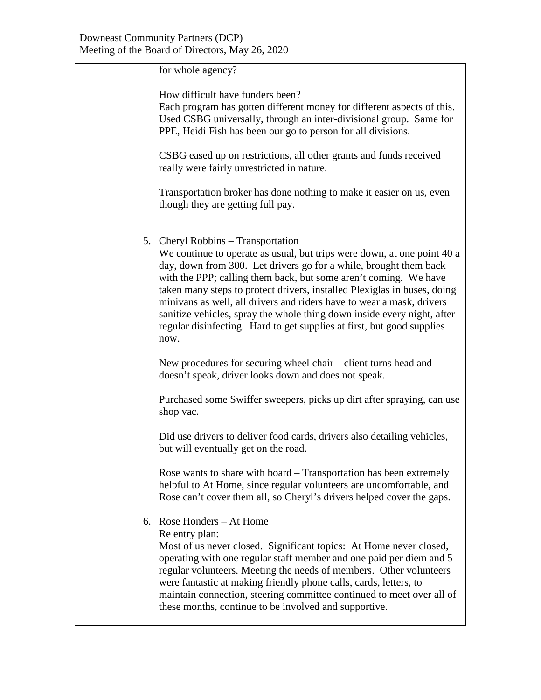for whole agency?

How difficult have funders been? Each program has gotten different money for different aspects of this. Used CSBG universally, through an inter-divisional group. Same for PPE, Heidi Fish has been our go to person for all divisions.

CSBG eased up on restrictions, all other grants and funds received really were fairly unrestricted in nature.

Transportation broker has done nothing to make it easier on us, even though they are getting full pay.

5. Cheryl Robbins – Transportation

We continue to operate as usual, but trips were down, at one point 40 a day, down from 300. Let drivers go for a while, brought them back with the PPP; calling them back, but some aren't coming. We have taken many steps to protect drivers, installed Plexiglas in buses, doing minivans as well, all drivers and riders have to wear a mask, drivers sanitize vehicles, spray the whole thing down inside every night, after regular disinfecting. Hard to get supplies at first, but good supplies now.

New procedures for securing wheel chair – client turns head and doesn't speak, driver looks down and does not speak.

Purchased some Swiffer sweepers, picks up dirt after spraying, can use shop vac.

Did use drivers to deliver food cards, drivers also detailing vehicles, but will eventually get on the road.

Rose wants to share with board – Transportation has been extremely helpful to At Home, since regular volunteers are uncomfortable, and Rose can't cover them all, so Cheryl's drivers helped cover the gaps.

- 6. Rose Honders At Home
	- Re entry plan:

Most of us never closed. Significant topics: At Home never closed, operating with one regular staff member and one paid per diem and 5 regular volunteers. Meeting the needs of members. Other volunteers were fantastic at making friendly phone calls, cards, letters, to maintain connection, steering committee continued to meet over all of these months, continue to be involved and supportive.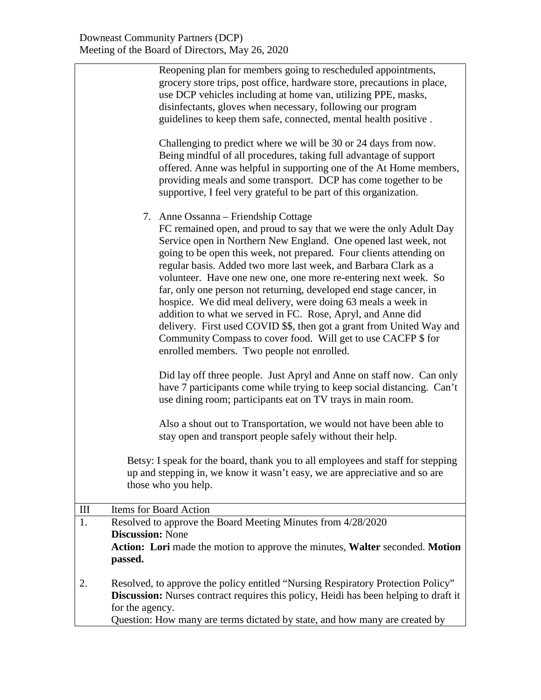|                  | Reopening plan for members going to rescheduled appointments,<br>grocery store trips, post office, hardware store, precautions in place,<br>use DCP vehicles including at home van, utilizing PPE, masks,<br>disinfectants, gloves when necessary, following our program<br>guidelines to keep them safe, connected, mental health positive.<br>Challenging to predict where we will be 30 or 24 days from now.<br>Being mindful of all procedures, taking full advantage of support<br>offered. Anne was helpful in supporting one of the At Home members,<br>providing meals and some transport. DCP has come together to be<br>supportive, I feel very grateful to be part of this organization.<br>7. Anne Ossanna – Friendship Cottage<br>FC remained open, and proud to say that we were the only Adult Day<br>Service open in Northern New England. One opened last week, not<br>going to be open this week, not prepared. Four clients attending on<br>regular basis. Added two more last week, and Barbara Clark as a<br>volunteer. Have one new one, one more re-entering next week. So<br>far, only one person not returning, developed end stage cancer, in<br>hospice. We did meal delivery, were doing 63 meals a week in<br>addition to what we served in FC. Rose, Apryl, and Anne did<br>delivery. First used COVID \$\$, then got a grant from United Way and<br>Community Compass to cover food. Will get to use CACFP \$ for<br>enrolled members. Two people not enrolled.<br>Did lay off three people. Just Apryl and Anne on staff now. Can only<br>have 7 participants come while trying to keep social distancing. Can't<br>use dining room; participants eat on TV trays in main room. |  |
|------------------|-----------------------------------------------------------------------------------------------------------------------------------------------------------------------------------------------------------------------------------------------------------------------------------------------------------------------------------------------------------------------------------------------------------------------------------------------------------------------------------------------------------------------------------------------------------------------------------------------------------------------------------------------------------------------------------------------------------------------------------------------------------------------------------------------------------------------------------------------------------------------------------------------------------------------------------------------------------------------------------------------------------------------------------------------------------------------------------------------------------------------------------------------------------------------------------------------------------------------------------------------------------------------------------------------------------------------------------------------------------------------------------------------------------------------------------------------------------------------------------------------------------------------------------------------------------------------------------------------------------------------------------------------------------------------------------------------------------------|--|
|                  | Also a shout out to Transportation, we would not have been able to<br>stay open and transport people safely without their help.                                                                                                                                                                                                                                                                                                                                                                                                                                                                                                                                                                                                                                                                                                                                                                                                                                                                                                                                                                                                                                                                                                                                                                                                                                                                                                                                                                                                                                                                                                                                                                                 |  |
|                  | Betsy: I speak for the board, thank you to all employees and staff for stepping<br>up and stepping in, we know it wasn't easy, we are appreciative and so are<br>those who you help.                                                                                                                                                                                                                                                                                                                                                                                                                                                                                                                                                                                                                                                                                                                                                                                                                                                                                                                                                                                                                                                                                                                                                                                                                                                                                                                                                                                                                                                                                                                            |  |
| $\rm III$        | <b>Items for Board Action</b>                                                                                                                                                                                                                                                                                                                                                                                                                                                                                                                                                                                                                                                                                                                                                                                                                                                                                                                                                                                                                                                                                                                                                                                                                                                                                                                                                                                                                                                                                                                                                                                                                                                                                   |  |
| $\overline{1}$ . | Resolved to approve the Board Meeting Minutes from 4/28/2020<br><b>Discussion: None</b><br>Action: Lori made the motion to approve the minutes, Walter seconded. Motion<br>passed.                                                                                                                                                                                                                                                                                                                                                                                                                                                                                                                                                                                                                                                                                                                                                                                                                                                                                                                                                                                                                                                                                                                                                                                                                                                                                                                                                                                                                                                                                                                              |  |
| 2.               | Resolved, to approve the policy entitled "Nursing Respiratory Protection Policy"<br><b>Discussion:</b> Nurses contract requires this policy, Heidi has been helping to draft it<br>for the agency.<br>Question: How many are terms dictated by state, and how many are created by                                                                                                                                                                                                                                                                                                                                                                                                                                                                                                                                                                                                                                                                                                                                                                                                                                                                                                                                                                                                                                                                                                                                                                                                                                                                                                                                                                                                                               |  |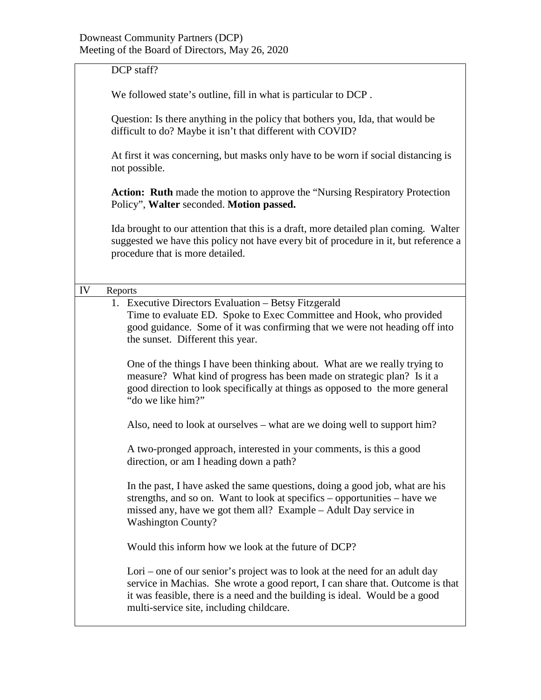|    | DCP staff?                                                                                                                                                                                                                                                                               |  |  |
|----|------------------------------------------------------------------------------------------------------------------------------------------------------------------------------------------------------------------------------------------------------------------------------------------|--|--|
|    | We followed state's outline, fill in what is particular to DCP.                                                                                                                                                                                                                          |  |  |
|    | Question: Is there anything in the policy that bothers you, Ida, that would be<br>difficult to do? Maybe it isn't that different with COVID?                                                                                                                                             |  |  |
|    | At first it was concerning, but masks only have to be worn if social distancing is<br>not possible.                                                                                                                                                                                      |  |  |
|    | <b>Action: Ruth</b> made the motion to approve the "Nursing Respiratory Protection"<br>Policy", Walter seconded. Motion passed.                                                                                                                                                          |  |  |
|    | Ida brought to our attention that this is a draft, more detailed plan coming. Walter<br>suggested we have this policy not have every bit of procedure in it, but reference a<br>procedure that is more detailed.                                                                         |  |  |
| IV | Reports                                                                                                                                                                                                                                                                                  |  |  |
|    | 1. Executive Directors Evaluation – Betsy Fitzgerald<br>Time to evaluate ED. Spoke to Exec Committee and Hook, who provided<br>good guidance. Some of it was confirming that we were not heading off into<br>the sunset. Different this year.                                            |  |  |
|    | One of the things I have been thinking about. What are we really trying to<br>measure? What kind of progress has been made on strategic plan? Is it a<br>good direction to look specifically at things as opposed to the more general<br>"do we like him?"                               |  |  |
|    | Also, need to look at ourselves – what are we doing well to support him?                                                                                                                                                                                                                 |  |  |
|    | A two-pronged approach, interested in your comments, is this a good<br>direction, or am I heading down a path?                                                                                                                                                                           |  |  |
|    | In the past, I have asked the same questions, doing a good job, what are his<br>strengths, and so on. Want to look at specifics $-$ opportunities $-$ have we<br>missed any, have we got them all? Example – Adult Day service in<br><b>Washington County?</b>                           |  |  |
|    | Would this inform how we look at the future of DCP?                                                                                                                                                                                                                                      |  |  |
|    | Lori – one of our senior's project was to look at the need for an adult day<br>service in Machias. She wrote a good report, I can share that. Outcome is that<br>it was feasible, there is a need and the building is ideal. Would be a good<br>multi-service site, including childcare. |  |  |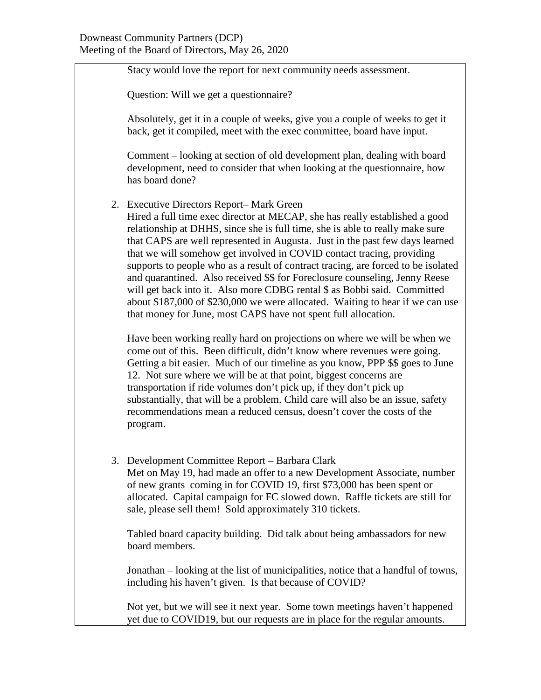Stacy would love the report for next community needs assessment.

Question: Will we get a questionnaire?

Absolutely, get it in a couple of weeks, give you a couple of weeks to get it back, get it compiled, meet with the exec committee, board have input.

Comment – looking at section of old development plan, dealing with board development, need to consider that when looking at the questionnaire, how has board done?

2. Executive Directors Report– Mark Green

Hired a full time exec director at MECAP, she has really established a good relationship at DHHS, since she is full time, she is able to really make sure that CAPS are well represented in Augusta. Just in the past few days learned that we will somehow get involved in COVID contact tracing, providing supports to people who as a result of contract tracing, are forced to be isolated and quarantined. Also received \$\$ for Foreclosure counseling, Jenny Reese will get back into it. Also more CDBG rental \$ as Bobbi said. Committed about \$187,000 of \$230,000 we were allocated. Waiting to hear if we can use that money for June, most CAPS have not spent full allocation.

Have been working really hard on projections on where we will be when we come out of this. Been difficult, didn't know where revenues were going. Getting a bit easier. Much of our timeline as you know, PPP \$\$ goes to June 12. Not sure where we will be at that point, biggest concerns are transportation if ride volumes don't pick up, if they don't pick up substantially, that will be a problem. Child care will also be an issue, safety recommendations mean a reduced census, doesn't cover the costs of the program.

3. Development Committee Report – Barbara Clark Met on May 19, had made an offer to a new Development Associate, number of new grants coming in for COVID 19, first \$73,000 has been spent or allocated. Capital campaign for FC slowed down. Raffle tickets are still for sale, please sell them! Sold approximately 310 tickets.

Tabled board capacity building. Did talk about being ambassadors for new board members.

Jonathan – looking at the list of municipalities, notice that a handful of towns, including his haven't given. Is that because of COVID?

Not yet, but we will see it next year. Some town meetings haven't happened yet due to COVID19, but our requests are in place for the regular amounts.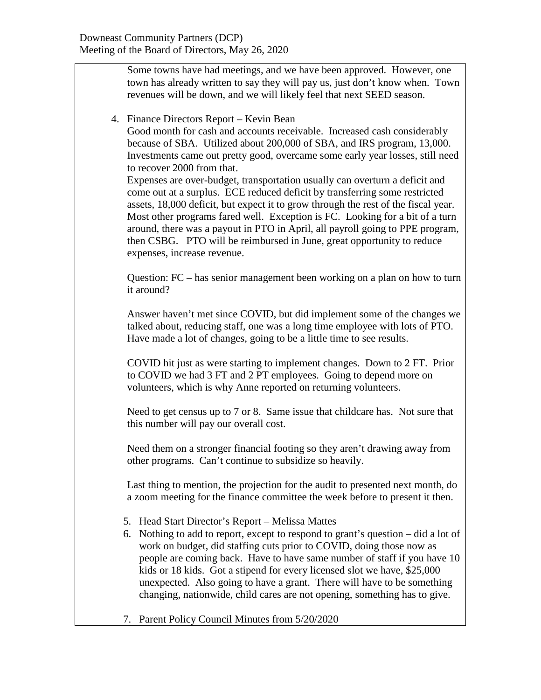Some towns have had meetings, and we have been approved. However, one town has already written to say they will pay us, just don't know when. Town revenues will be down, and we will likely feel that next SEED season.

4. Finance Directors Report – Kevin Bean

Good month for cash and accounts receivable. Increased cash considerably because of SBA. Utilized about 200,000 of SBA, and IRS program, 13,000. Investments came out pretty good, overcame some early year losses, still need to recover 2000 from that.

Expenses are over-budget, transportation usually can overturn a deficit and come out at a surplus. ECE reduced deficit by transferring some restricted assets, 18,000 deficit, but expect it to grow through the rest of the fiscal year. Most other programs fared well. Exception is FC. Looking for a bit of a turn around, there was a payout in PTO in April, all payroll going to PPE program, then CSBG. PTO will be reimbursed in June, great opportunity to reduce expenses, increase revenue.

Question: FC – has senior management been working on a plan on how to turn it around?

Answer haven't met since COVID, but did implement some of the changes we talked about, reducing staff, one was a long time employee with lots of PTO. Have made a lot of changes, going to be a little time to see results.

COVID hit just as were starting to implement changes. Down to 2 FT. Prior to COVID we had 3 FT and 2 PT employees. Going to depend more on volunteers, which is why Anne reported on returning volunteers.

Need to get census up to 7 or 8. Same issue that childcare has. Not sure that this number will pay our overall cost.

Need them on a stronger financial footing so they aren't drawing away from other programs. Can't continue to subsidize so heavily.

Last thing to mention, the projection for the audit to presented next month, do a zoom meeting for the finance committee the week before to present it then.

- 5. Head Start Director's Report Melissa Mattes
- 6. Nothing to add to report, except to respond to grant's question did a lot of work on budget, did staffing cuts prior to COVID, doing those now as people are coming back. Have to have same number of staff if you have 10 kids or 18 kids. Got a stipend for every licensed slot we have, \$25,000 unexpected. Also going to have a grant. There will have to be something changing, nationwide, child cares are not opening, something has to give.
- 7. Parent Policy Council Minutes from 5/20/2020